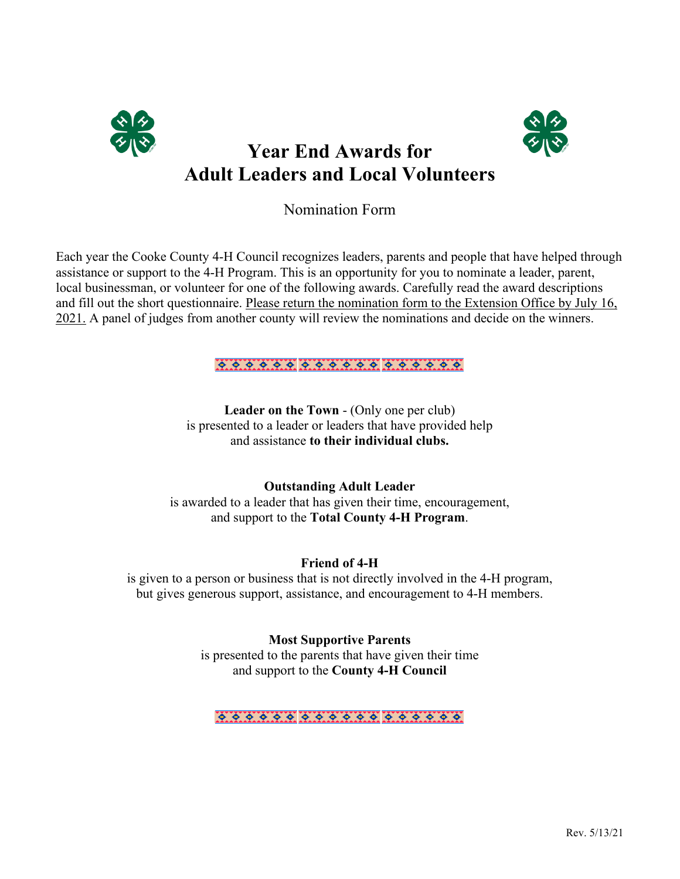



## **Year End Awards for Adult Leaders and Local Volunteers**

Nomination Form

Each year the Cooke County 4-H Council recognizes leaders, parents and people that have helped through assistance or support to the 4-H Program. This is an opportunity for you to nominate a leader, parent, local businessman, or volunteer for one of the following awards. Carefully read the award descriptions and fill out the short questionnaire. Please return the nomination form to the Extension Office by July 16, 2021. A panel of judges from another county will review the nominations and decide on the winners.

<u>o o o o o o o o o o o o o o o o o o</u>

**Leader on the Town** - (Only one per club) is presented to a leader or leaders that have provided help and assistance **to their individual clubs.**

**Outstanding Adult Leader**  is awarded to a leader that has given their time, encouragement, and support to the **Total County 4-H Program**.

## **Friend of 4-H**

is given to a person or business that is not directly involved in the 4-H program, but gives generous support, assistance, and encouragement to 4-H members.

> **Most Supportive Parents**  is presented to the parents that have given their time and support to the **County 4-H Council**